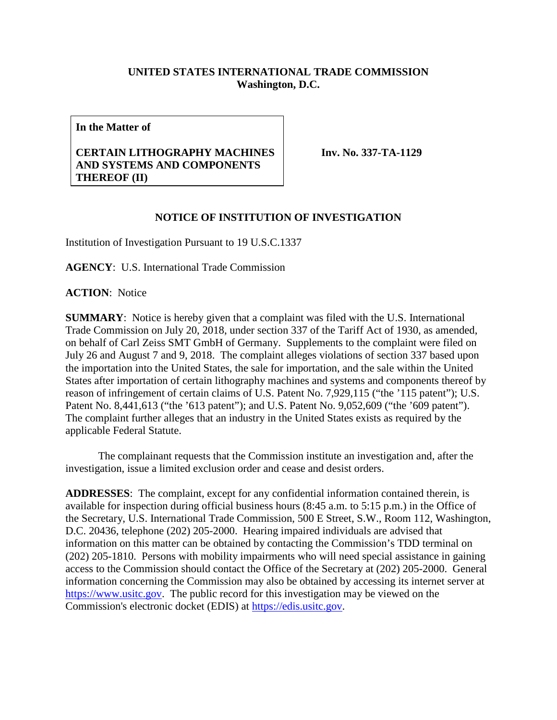## **UNITED STATES INTERNATIONAL TRADE COMMISSION Washington, D.C.**

**In the Matter of**

## **CERTAIN LITHOGRAPHY MACHINES AND SYSTEMS AND COMPONENTS THEREOF (II)**

**Inv. No. 337-TA-1129**

## **NOTICE OF INSTITUTION OF INVESTIGATION**

Institution of Investigation Pursuant to 19 U.S.C.1337

**AGENCY**: U.S. International Trade Commission

**ACTION**: Notice

**SUMMARY**: Notice is hereby given that a complaint was filed with the U.S. International Trade Commission on July 20, 2018, under section 337 of the Tariff Act of 1930, as amended, on behalf of Carl Zeiss SMT GmbH of Germany. Supplements to the complaint were filed on July 26 and August 7 and 9, 2018. The complaint alleges violations of section 337 based upon the importation into the United States, the sale for importation, and the sale within the United States after importation of certain lithography machines and systems and components thereof by reason of infringement of certain claims of U.S. Patent No. 7,929,115 ("the '115 patent"); U.S. Patent No. 8,441,613 ("the '613 patent"); and U.S. Patent No. 9,052,609 ("the '609 patent"). The complaint further alleges that an industry in the United States exists as required by the applicable Federal Statute.

The complainant requests that the Commission institute an investigation and, after the investigation, issue a limited exclusion order and cease and desist orders.

**ADDRESSES**: The complaint, except for any confidential information contained therein, is available for inspection during official business hours (8:45 a.m. to 5:15 p.m.) in the Office of the Secretary, U.S. International Trade Commission, 500 E Street, S.W., Room 112, Washington, D.C. 20436, telephone (202) 205-2000. Hearing impaired individuals are advised that information on this matter can be obtained by contacting the Commission's TDD terminal on (202) 205-1810. Persons with mobility impairments who will need special assistance in gaining access to the Commission should contact the Office of the Secretary at (202) 205-2000. General information concerning the Commission may also be obtained by accessing its internet server at [https://www.usitc.gov.](https://www.usitc.gov/) The public record for this investigation may be viewed on the Commission's electronic docket (EDIS) at [https://edis.usitc.gov.](https://edis.usitc.gov/)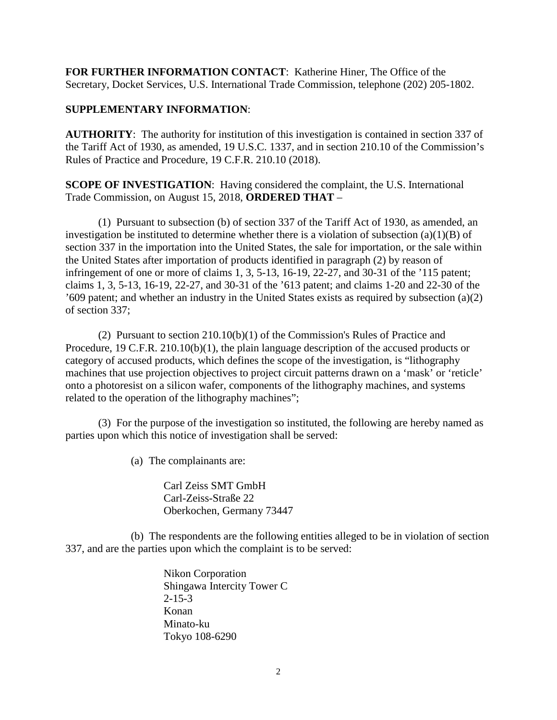**FOR FURTHER INFORMATION CONTACT**: Katherine Hiner, The Office of the Secretary, Docket Services, U.S. International Trade Commission, telephone (202) 205-1802.

## **SUPPLEMENTARY INFORMATION**:

**AUTHORITY**: The authority for institution of this investigation is contained in section 337 of the Tariff Act of 1930, as amended, 19 U.S.C. 1337, and in section 210.10 of the Commission's Rules of Practice and Procedure, 19 C.F.R. 210.10 (2018).

**SCOPE OF INVESTIGATION**: Having considered the complaint, the U.S. International Trade Commission, on August 15, 2018, **ORDERED THAT** –

(1) Pursuant to subsection (b) of section 337 of the Tariff Act of 1930, as amended, an investigation be instituted to determine whether there is a violation of subsection  $(a)(1)(B)$  of section 337 in the importation into the United States, the sale for importation, or the sale within the United States after importation of products identified in paragraph (2) by reason of infringement of one or more of claims 1, 3, 5-13, 16-19, 22-27, and 30-31 of the '115 patent; claims 1, 3, 5-13, 16-19, 22-27, and 30-31 of the '613 patent; and claims 1-20 and 22-30 of the '609 patent; and whether an industry in the United States exists as required by subsection (a)(2) of section 337;

(2) Pursuant to section 210.10(b)(1) of the Commission's Rules of Practice and Procedure, 19 C.F.R. 210.10(b)(1), the plain language description of the accused products or category of accused products, which defines the scope of the investigation, is "lithography machines that use projection objectives to project circuit patterns drawn on a 'mask' or 'reticle' onto a photoresist on a silicon wafer, components of the lithography machines, and systems related to the operation of the lithography machines";

(3) For the purpose of the investigation so instituted, the following are hereby named as parties upon which this notice of investigation shall be served:

(a) The complainants are:

Carl Zeiss SMT GmbH Carl-Zeiss-Straße 22 Oberkochen, Germany 73447

(b) The respondents are the following entities alleged to be in violation of section 337, and are the parties upon which the complaint is to be served:

> Nikon Corporation Shingawa Intercity Tower C 2-15-3 Konan Minato-ku Tokyo 108-6290